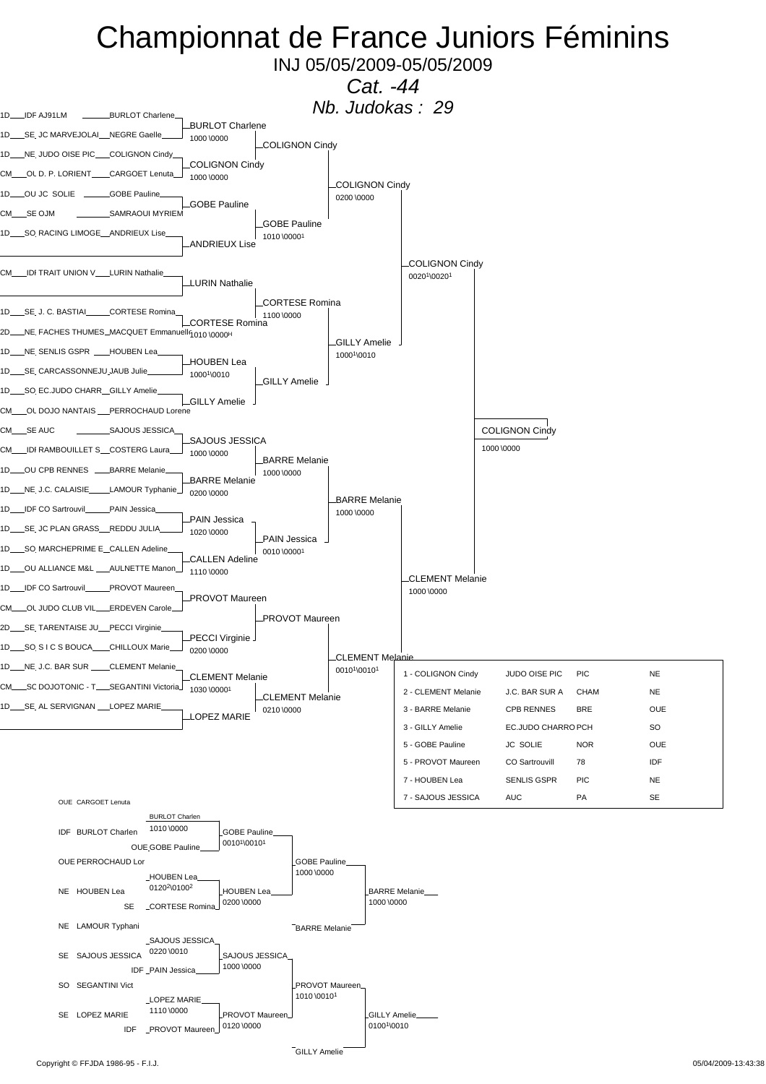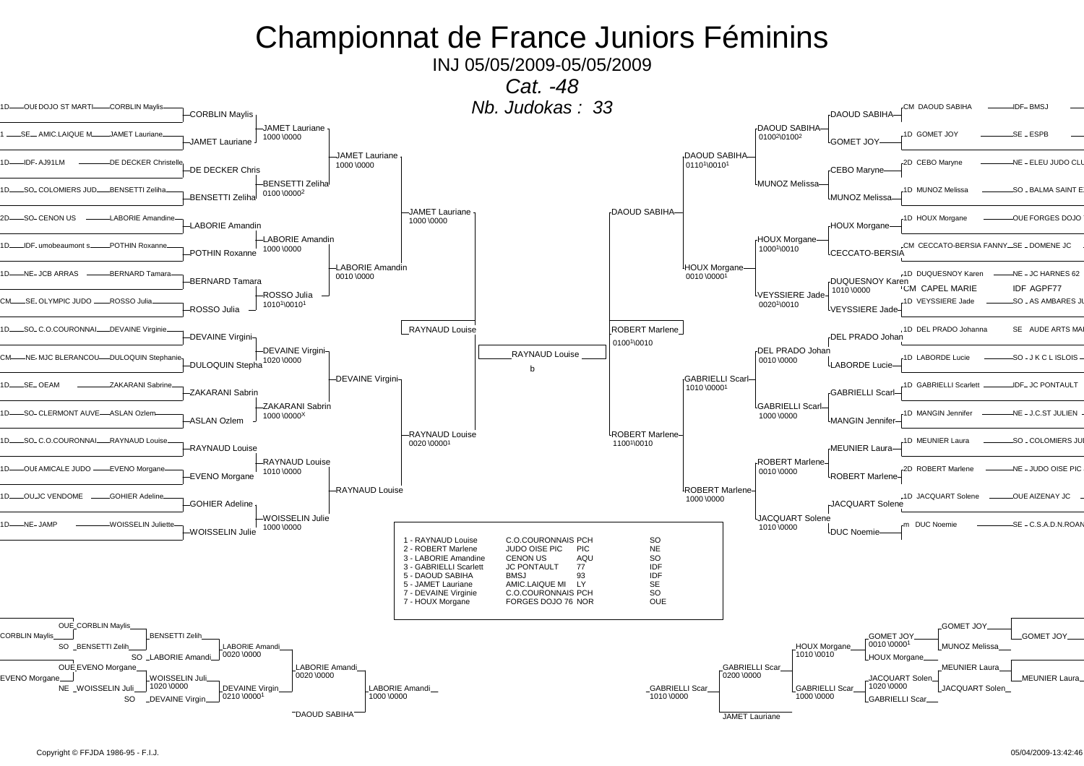### Championnat de France Juniors Féminins

INJ 05/05/2009-05/05/2009

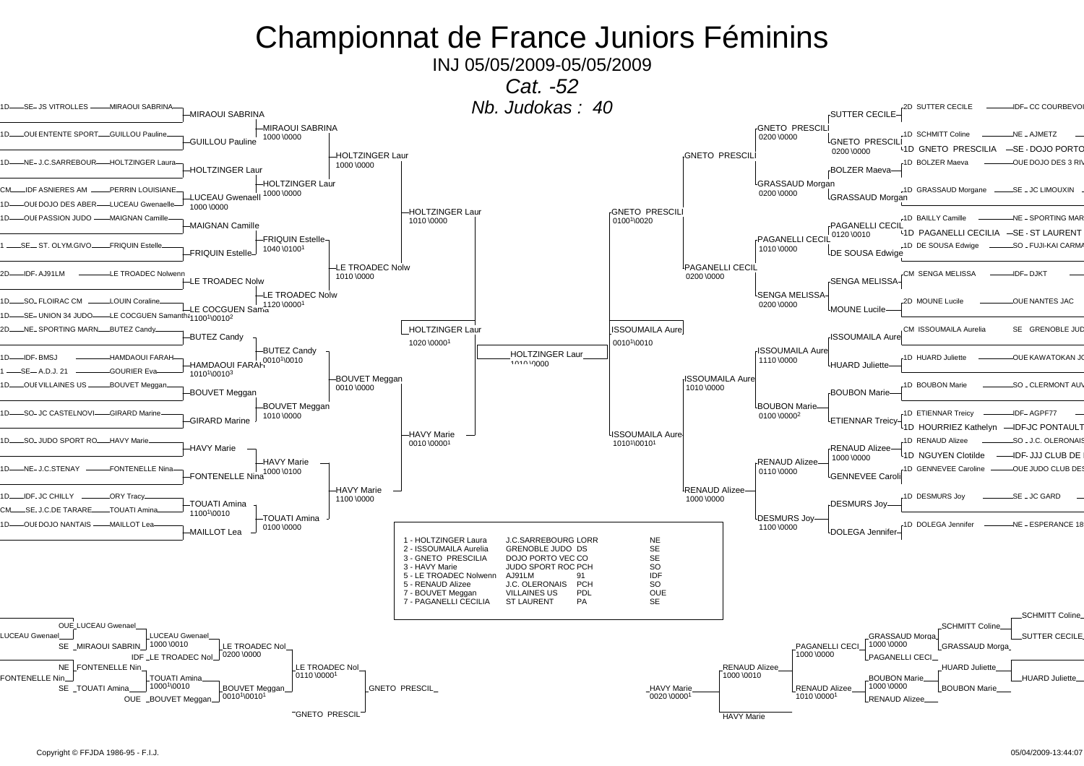### Championnat de France Juniors Féminins

INJ 05/05/2009-05/05/2009

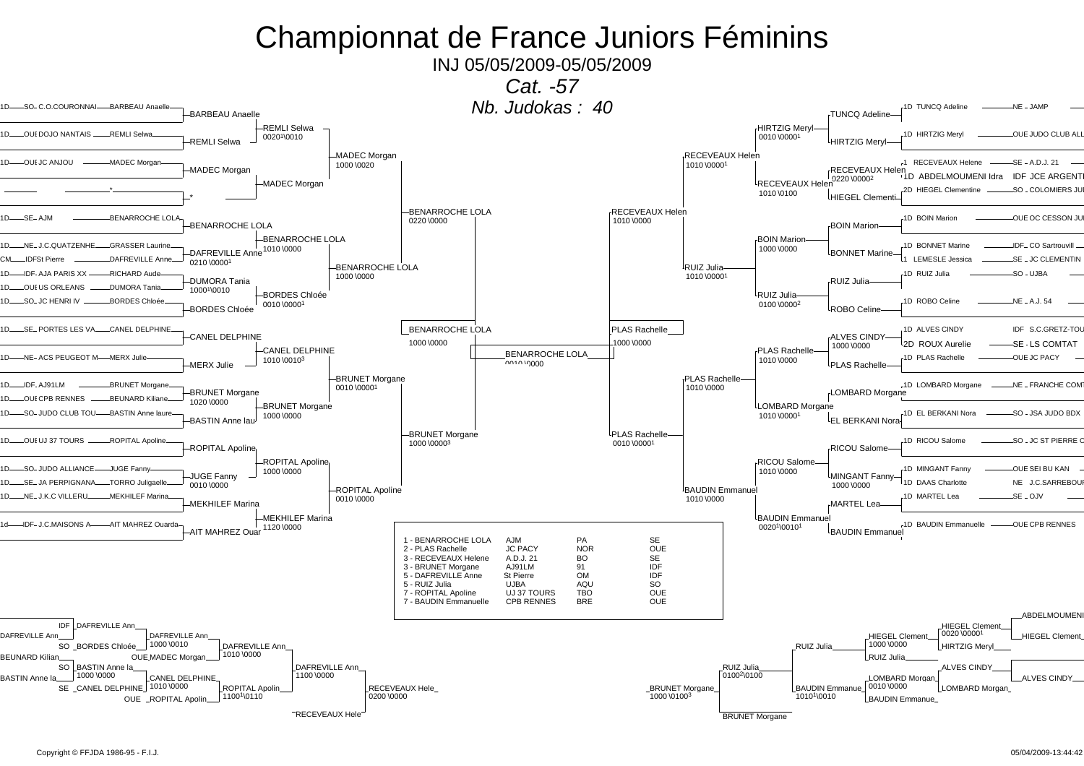## Championnat de France Juniors Féminins

INJ 05/05/2009-05/05/2009

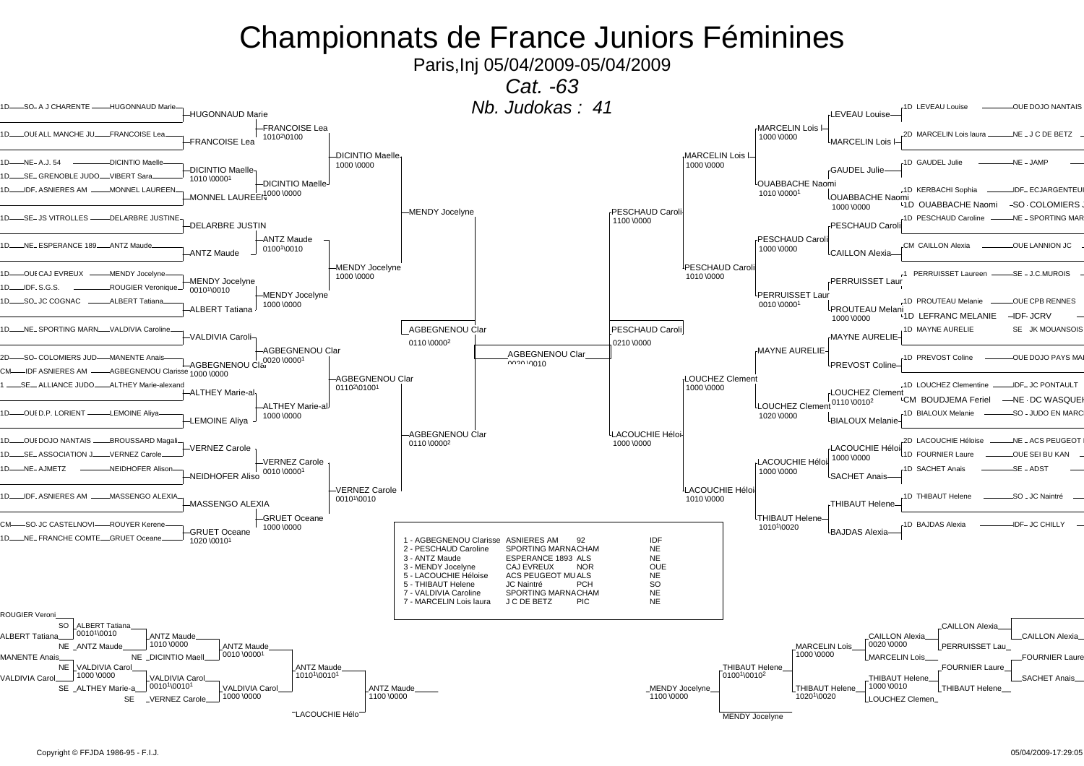# Championnats de France Juniors Féminines

Paris, Inj 05/04/2009-05/04/2009

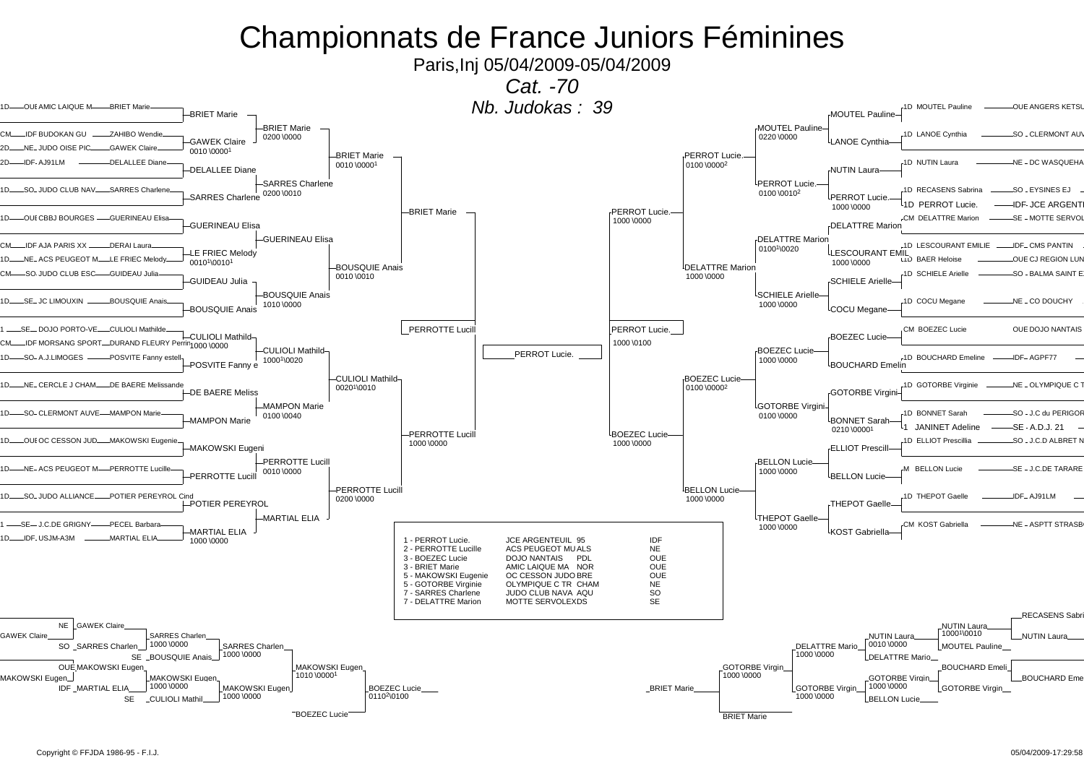# Championnats de France Juniors Féminines

Paris,Inj 05/04/2009-05/04/2009

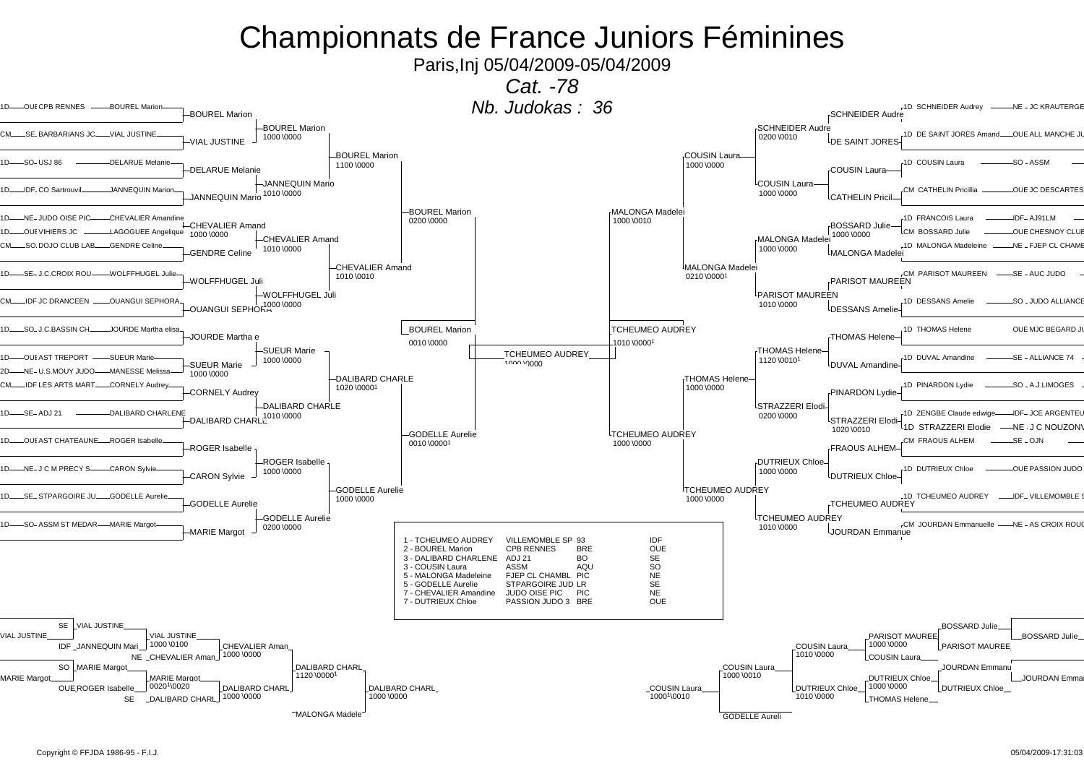# Championnats de France Juniors Féminines

Paris,Inj 05/04/2009-05/04/2009